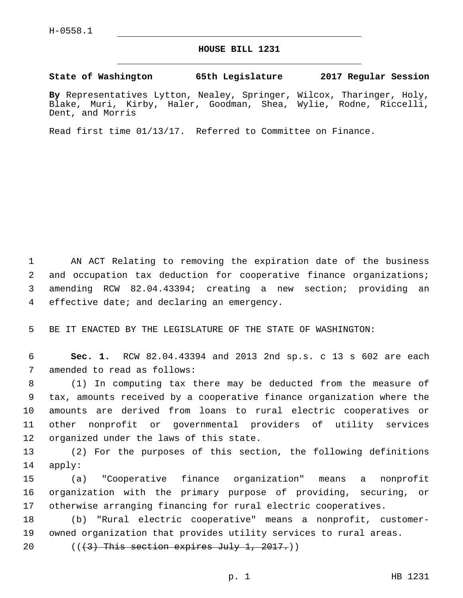## **HOUSE BILL 1231**

**State of Washington 65th Legislature 2017 Regular Session**

**By** Representatives Lytton, Nealey, Springer, Wilcox, Tharinger, Holy, Blake, Muri, Kirby, Haler, Goodman, Shea, Wylie, Rodne, Riccelli, Dent, and Morris

Read first time 01/13/17. Referred to Committee on Finance.

 AN ACT Relating to removing the expiration date of the business and occupation tax deduction for cooperative finance organizations; amending RCW 82.04.43394; creating a new section; providing an 4 effective date; and declaring an emergency.

5 BE IT ENACTED BY THE LEGISLATURE OF THE STATE OF WASHINGTON:

6 **Sec. 1.** RCW 82.04.43394 and 2013 2nd sp.s. c 13 s 602 are each 7 amended to read as follows:

 (1) In computing tax there may be deducted from the measure of tax, amounts received by a cooperative finance organization where the amounts are derived from loans to rural electric cooperatives or other nonprofit or governmental providers of utility services 12 organized under the laws of this state.

13 (2) For the purposes of this section, the following definitions 14 apply:

15 (a) "Cooperative finance organization" means a nonprofit 16 organization with the primary purpose of providing, securing, or 17 otherwise arranging financing for rural electric cooperatives.

18 (b) "Rural electric cooperative" means a nonprofit, customer-19 owned organization that provides utility services to rural areas.

20  $((3)$  This section expires July 1, 2017.)

p. 1 HB 1231